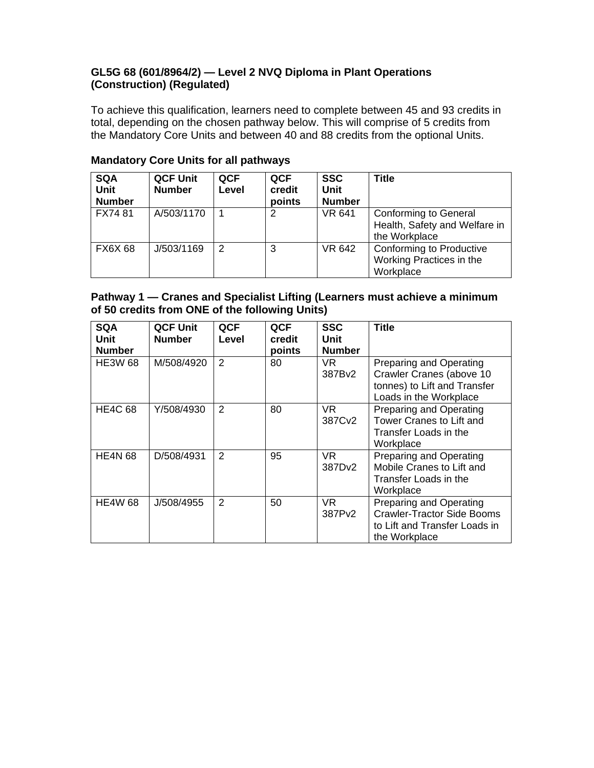## **GL5G 68 (601/8964/2) — Level 2 NVQ Diploma in Plant Operations (Construction) (Regulated)**

To achieve this qualification, learners need to complete between 45 and 93 credits in total, depending on the chosen pathway below. This will comprise of 5 credits from the Mandatory Core Units and between 40 and 88 credits from the optional Units.

| <b>SQA</b><br><b>Unit</b><br><b>Number</b> | <b>QCF Unit</b><br><b>Number</b> | <b>QCF</b><br>Level | <b>QCF</b><br>credit<br>points | <b>SSC</b><br>Unit<br><b>Number</b> | <b>Title</b>                                                                   |
|--------------------------------------------|----------------------------------|---------------------|--------------------------------|-------------------------------------|--------------------------------------------------------------------------------|
| FX7481                                     | A/503/1170                       |                     | 2                              | <b>VR 641</b>                       | <b>Conforming to General</b><br>Health, Safety and Welfare in<br>the Workplace |
| <b>FX6X68</b>                              | J/503/1169                       | 2                   | 3                              | <b>VR 642</b>                       | Conforming to Productive<br>Working Practices in the<br>Workplace              |

## **Mandatory Core Units for all pathways**

#### **Pathway 1 — Cranes and Specialist Lifting (Learners must achieve a minimum of 50 credits from ONE of the following Units)**

| <b>SQA</b><br><b>Unit</b><br><b>Number</b> | <b>QCF Unit</b><br><b>Number</b> | <b>QCF</b><br>Level | QCF<br>credit<br>points | <b>SSC</b><br>Unit<br><b>Number</b> | <b>Title</b>                                                                                                   |
|--------------------------------------------|----------------------------------|---------------------|-------------------------|-------------------------------------|----------------------------------------------------------------------------------------------------------------|
| <b>HE3W 68</b>                             | M/508/4920                       | $\overline{2}$      | 80                      | VR.<br>387Bv2                       | Preparing and Operating<br>Crawler Cranes (above 10<br>tonnes) to Lift and Transfer<br>Loads in the Workplace  |
| <b>HE4C 68</b>                             | Y/508/4930                       | 2                   | 80                      | VR.<br>387Cv2                       | Preparing and Operating<br>Tower Cranes to Lift and<br>Transfer Loads in the<br>Workplace                      |
| <b>HE4N 68</b>                             | D/508/4931                       | 2                   | 95                      | VR.<br>387Dv2                       | Preparing and Operating<br>Mobile Cranes to Lift and<br>Transfer Loads in the<br>Workplace                     |
| <b>HE4W 68</b>                             | J/508/4955                       | 2                   | 50                      | VR.<br>387Pv2                       | Preparing and Operating<br><b>Crawler-Tractor Side Booms</b><br>to Lift and Transfer Loads in<br>the Workplace |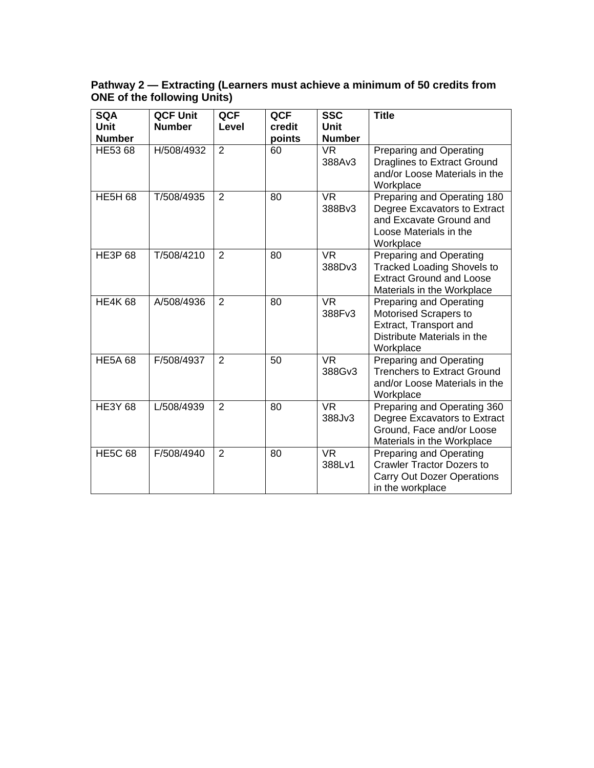#### **Pathway 2 — Extracting (Learners must achieve a minimum of 50 credits from ONE of the following Units)**

| <b>SQA</b><br><b>Unit</b><br><b>Number</b> | <b>QCF Unit</b><br><b>Number</b> | <b>QCF</b><br>Level | QCF<br>credit<br>points | <b>SSC</b><br><b>Unit</b><br><b>Number</b> | <b>Title</b>                                                                                                                         |
|--------------------------------------------|----------------------------------|---------------------|-------------------------|--------------------------------------------|--------------------------------------------------------------------------------------------------------------------------------------|
| HE53 68                                    | H/508/4932                       | 2                   | 60                      | <b>VR</b><br>388Av3                        | Preparing and Operating<br>Draglines to Extract Ground<br>and/or Loose Materials in the<br>Workplace                                 |
| <b>HE5H 68</b>                             | T/508/4935                       | $\overline{2}$      | 80                      | <b>VR</b><br>388Bv3                        | Preparing and Operating 180<br>Degree Excavators to Extract<br>and Excavate Ground and<br>Loose Materials in the<br>Workplace        |
| <b>HE3P68</b>                              | T/508/4210                       | 2                   | 80                      | <b>VR</b><br>388Dv3                        | <b>Preparing and Operating</b><br><b>Tracked Loading Shovels to</b><br><b>Extract Ground and Loose</b><br>Materials in the Workplace |
| <b>HE4K68</b>                              | A/508/4936                       | 2                   | 80                      | <b>VR</b><br>388Fv3                        | Preparing and Operating<br>Motorised Scrapers to<br>Extract, Transport and<br>Distribute Materials in the<br>Workplace               |
| <b>HE5A 68</b>                             | F/508/4937                       | $\overline{2}$      | 50                      | <b>VR</b><br>388Gv3                        | Preparing and Operating<br><b>Trenchers to Extract Ground</b><br>and/or Loose Materials in the<br>Workplace                          |
| <b>HE3Y 68</b>                             | L/508/4939                       | 2                   | 80                      | <b>VR</b><br>388Jv3                        | Preparing and Operating 360<br>Degree Excavators to Extract<br>Ground, Face and/or Loose<br>Materials in the Workplace               |
| <b>HE5C 68</b>                             | F/508/4940                       | 2                   | 80                      | <b>VR</b><br>388Lv1                        | Preparing and Operating<br><b>Crawler Tractor Dozers to</b><br><b>Carry Out Dozer Operations</b><br>in the workplace                 |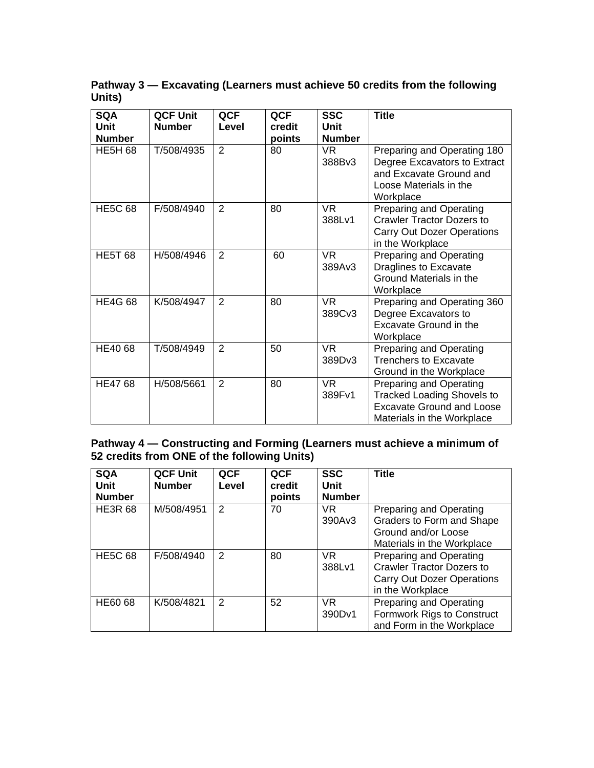**Pathway 3 — Excavating (Learners must achieve 50 credits from the following Units)** 

| <b>SQA</b><br><b>Unit</b><br><b>Number</b> | <b>QCF Unit</b><br><b>Number</b> | <b>QCF</b><br>Level | QCF<br>credit<br>points | <b>SSC</b><br>Unit<br><b>Number</b> | <b>Title</b>                                                                                                                   |
|--------------------------------------------|----------------------------------|---------------------|-------------------------|-------------------------------------|--------------------------------------------------------------------------------------------------------------------------------|
| <b>HE5H 68</b>                             | T/508/4935                       | $\overline{2}$      | 80                      | VR.<br>388Bv3                       | Preparing and Operating 180<br>Degree Excavators to Extract<br>and Excavate Ground and<br>Loose Materials in the<br>Workplace  |
| <b>HE5C 68</b>                             | F/508/4940                       | $\overline{2}$      | 80                      | <b>VR</b><br>388Lv1                 | Preparing and Operating<br><b>Crawler Tractor Dozers to</b><br><b>Carry Out Dozer Operations</b><br>in the Workplace           |
| <b>HE5T 68</b>                             | H/508/4946                       | 2                   | 60                      | <b>VR</b><br>389Av3                 | Preparing and Operating<br>Draglines to Excavate<br>Ground Materials in the<br>Workplace                                       |
| <b>HE4G 68</b>                             | K/508/4947                       | 2                   | 80                      | <b>VR</b><br>389Cv3                 | Preparing and Operating 360<br>Degree Excavators to<br>Excavate Ground in the<br>Workplace                                     |
| HE40 68                                    | T/508/4949                       | 2                   | 50                      | <b>VR</b><br>389Dv3                 | Preparing and Operating<br><b>Trenchers to Excavate</b><br>Ground in the Workplace                                             |
| <b>HE47 68</b>                             | H/508/5661                       | $\overline{2}$      | 80                      | <b>VR</b><br>389Fv1                 | Preparing and Operating<br><b>Tracked Loading Shovels to</b><br><b>Excavate Ground and Loose</b><br>Materials in the Workplace |

#### **Pathway 4 — Constructing and Forming (Learners must achieve a minimum of 52 credits from ONE of the following Units)**

| <b>SQA</b><br>Unit<br><b>Number</b> | <b>QCF Unit</b><br><b>Number</b> | <b>QCF</b><br>Level | <b>QCF</b><br>credit<br>points | <b>SSC</b><br><b>Unit</b><br><b>Number</b> | <b>Title</b>                                                                                                         |
|-------------------------------------|----------------------------------|---------------------|--------------------------------|--------------------------------------------|----------------------------------------------------------------------------------------------------------------------|
| <b>HE3R 68</b>                      | M/508/4951                       | $\mathfrak{p}$      | 70                             | VR.<br>390Av3                              | Preparing and Operating<br>Graders to Form and Shape<br>Ground and/or Loose<br>Materials in the Workplace            |
| <b>HE5C 68</b>                      | F/508/4940                       | 2                   | 80                             | <b>VR</b><br>388Lv1                        | Preparing and Operating<br><b>Crawler Tractor Dozers to</b><br><b>Carry Out Dozer Operations</b><br>in the Workplace |
| <b>HE60 68</b>                      | K/508/4821                       | 2                   | 52                             | VR.<br>390Dv1                              | Preparing and Operating<br>Formwork Rigs to Construct<br>and Form in the Workplace                                   |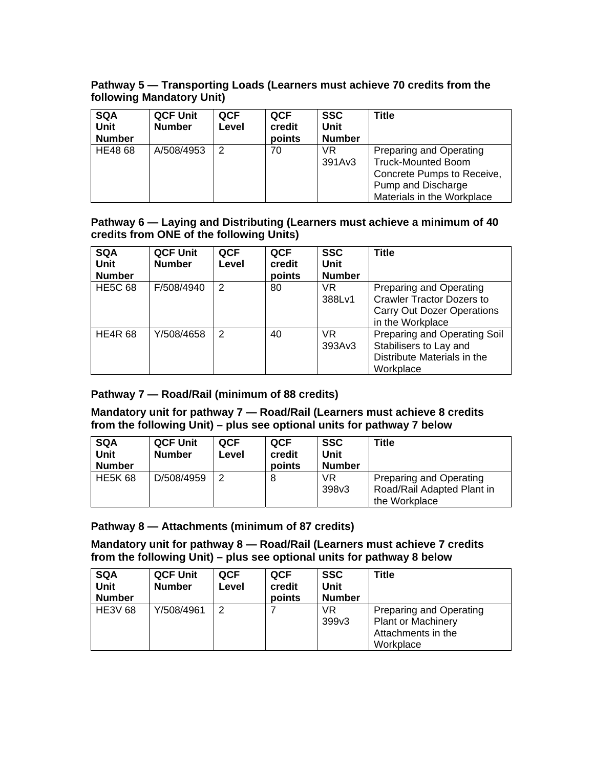#### **Pathway 5 — Transporting Loads (Learners must achieve 70 credits from the following Mandatory Unit)**

| <b>SQA</b><br>Unit<br><b>Number</b> | <b>QCF Unit</b><br><b>Number</b> | <b>QCF</b><br>Level | <b>QCF</b><br>credit<br>points | <b>SSC</b><br><b>Unit</b><br><b>Number</b> | Title                                                                                                                                  |
|-------------------------------------|----------------------------------|---------------------|--------------------------------|--------------------------------------------|----------------------------------------------------------------------------------------------------------------------------------------|
| HE48 68                             | A/508/4953                       | 2                   | 70                             | VR.<br>391Av3                              | Preparing and Operating<br><b>Truck-Mounted Boom</b><br>Concrete Pumps to Receive,<br>Pump and Discharge<br>Materials in the Workplace |

#### **Pathway 6 — Laying and Distributing (Learners must achieve a minimum of 40 credits from ONE of the following Units)**

| <b>SQA</b><br>Unit<br><b>Number</b> | <b>QCF Unit</b><br><b>Number</b> | <b>QCF</b><br>Level | <b>QCF</b><br>credit<br>points | <b>SSC</b><br>Unit<br><b>Number</b> | <b>Title</b>                                                                                                                |
|-------------------------------------|----------------------------------|---------------------|--------------------------------|-------------------------------------|-----------------------------------------------------------------------------------------------------------------------------|
| <b>HE5C 68</b>                      | F/508/4940                       | 2                   | 80                             | VR.<br>388Lv1                       | <b>Preparing and Operating</b><br><b>Crawler Tractor Dozers to</b><br><b>Carry Out Dozer Operations</b><br>in the Workplace |
| <b>HE4R 68</b>                      | Y/508/4658                       | 2                   | 40                             | VR.<br>393Av3                       | Preparing and Operating Soil<br>Stabilisers to Lay and<br>Distribute Materials in the<br>Workplace                          |

## **Pathway 7 — Road/Rail (minimum of 88 credits)**

#### **Mandatory unit for pathway 7 — Road/Rail (Learners must achieve 8 credits from the following Unit) – plus see optional units for pathway 7 below**

| <b>SQA</b><br><b>Unit</b><br><b>Number</b> | <b>QCF Unit</b><br><b>Number</b> | <b>QCF</b><br>Level | <b>QCF</b><br>credit<br>points | <b>SSC</b><br>Unit<br><b>Number</b> | Title                                                                         |
|--------------------------------------------|----------------------------------|---------------------|--------------------------------|-------------------------------------|-------------------------------------------------------------------------------|
| <b>HE5K 68</b>                             | D/508/4959                       |                     | 8                              | VR<br>398v3                         | <b>Preparing and Operating</b><br>Road/Rail Adapted Plant in<br>the Workplace |

## **Pathway 8 — Attachments (minimum of 87 credits)**

**Mandatory unit for pathway 8 — Road/Rail (Learners must achieve 7 credits from the following Unit) – plus see optional units for pathway 8 below** 

| <b>SQA</b><br><b>Unit</b><br><b>Number</b> | <b>QCF Unit</b><br><b>Number</b> | <b>QCF</b><br>Level | <b>QCF</b><br>credit<br>points | <b>SSC</b><br><b>Unit</b><br><b>Number</b> | <b>Title</b>                                                                                   |
|--------------------------------------------|----------------------------------|---------------------|--------------------------------|--------------------------------------------|------------------------------------------------------------------------------------------------|
| <b>HE3V 68</b>                             | Y/508/4961                       | 2                   |                                | VR<br>399v3                                | <b>Preparing and Operating</b><br><b>Plant or Machinery</b><br>Attachments in the<br>Workplace |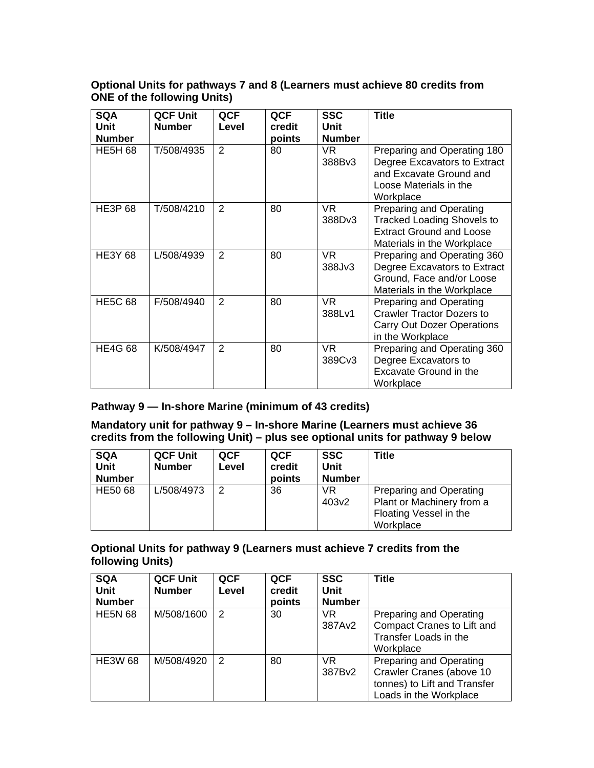#### **Optional Units for pathways 7 and 8 (Learners must achieve 80 credits from ONE of the following Units)**

| <b>SQA</b>     | <b>QCF Unit</b> | QCF            | QCF    | <b>SSC</b>    | <b>Title</b>                                                |
|----------------|-----------------|----------------|--------|---------------|-------------------------------------------------------------|
| Unit           | <b>Number</b>   | Level          | credit | <b>Unit</b>   |                                                             |
| <b>Number</b>  |                 |                | points | <b>Number</b> |                                                             |
| <b>HE5H 68</b> | T/508/4935      | $\overline{2}$ | 80     | VR.<br>388Bv3 | Preparing and Operating 180<br>Degree Excavators to Extract |
|                |                 |                |        |               | and Excavate Ground and                                     |
|                |                 |                |        |               | Loose Materials in the                                      |
|                |                 |                |        |               | Workplace                                                   |
| <b>HE3P 68</b> | T/508/4210      | 2              | 80     | VR.           | Preparing and Operating                                     |
|                |                 |                |        | 388Dv3        | <b>Tracked Loading Shovels to</b>                           |
|                |                 |                |        |               | <b>Extract Ground and Loose</b>                             |
|                |                 |                |        |               | Materials in the Workplace                                  |
| <b>HE3Y 68</b> | L/508/4939      | 2              | 80     | VR.           | Preparing and Operating 360                                 |
|                |                 |                |        | 388Jv3        | Degree Excavators to Extract                                |
|                |                 |                |        |               | Ground, Face and/or Loose                                   |
|                |                 |                |        |               | Materials in the Workplace                                  |
| <b>HE5C 68</b> | F/508/4940      | 2              | 80     | VR.           | Preparing and Operating                                     |
|                |                 |                |        | 388Lv1        | <b>Crawler Tractor Dozers to</b>                            |
|                |                 |                |        |               | <b>Carry Out Dozer Operations</b>                           |
|                |                 |                |        |               | in the Workplace                                            |
| <b>HE4G 68</b> | K/508/4947      | 2              | 80     | VR.           | Preparing and Operating 360                                 |
|                |                 |                |        | 389Cv3        | Degree Excavators to                                        |
|                |                 |                |        |               | Excavate Ground in the                                      |
|                |                 |                |        |               | Workplace                                                   |

## **Pathway 9 — In-shore Marine (minimum of 43 credits)**

**Mandatory unit for pathway 9 – In-shore Marine (Learners must achieve 36 credits from the following Unit) – plus see optional units for pathway 9 below** 

| <b>SQA</b><br><b>Unit</b><br><b>Number</b> | <b>QCF Unit</b><br><b>Number</b> | QCF<br>Level | QCF<br>credit<br>points | <b>SSC</b><br>Unit<br><b>Number</b> | Title                                                                                              |
|--------------------------------------------|----------------------------------|--------------|-------------------------|-------------------------------------|----------------------------------------------------------------------------------------------------|
| <b>HE50 68</b>                             | L/508/4973                       | 2            | 36                      | VR<br>403 <sub>v2</sub>             | <b>Preparing and Operating</b><br>Plant or Machinery from a<br>Floating Vessel in the<br>Workplace |

## **Optional Units for pathway 9 (Learners must achieve 7 credits from the following Units)**

| <b>SQA</b><br><b>Unit</b><br><b>Number</b> | <b>QCF Unit</b><br><b>Number</b> | <b>QCF</b><br>Level | <b>QCF</b><br>credit<br>points | <b>SSC</b><br>Unit<br><b>Number</b> | Title                                                                                                         |
|--------------------------------------------|----------------------------------|---------------------|--------------------------------|-------------------------------------|---------------------------------------------------------------------------------------------------------------|
| <b>HE5N 68</b>                             | M/508/1600                       | 2                   | 30                             | VR.<br>387Av2                       | Preparing and Operating<br>Compact Cranes to Lift and<br>Transfer Loads in the<br>Workplace                   |
| <b>HE3W 68</b>                             | M/508/4920                       | 2                   | 80                             | <b>VR</b><br>387Bv2                 | Preparing and Operating<br>Crawler Cranes (above 10<br>tonnes) to Lift and Transfer<br>Loads in the Workplace |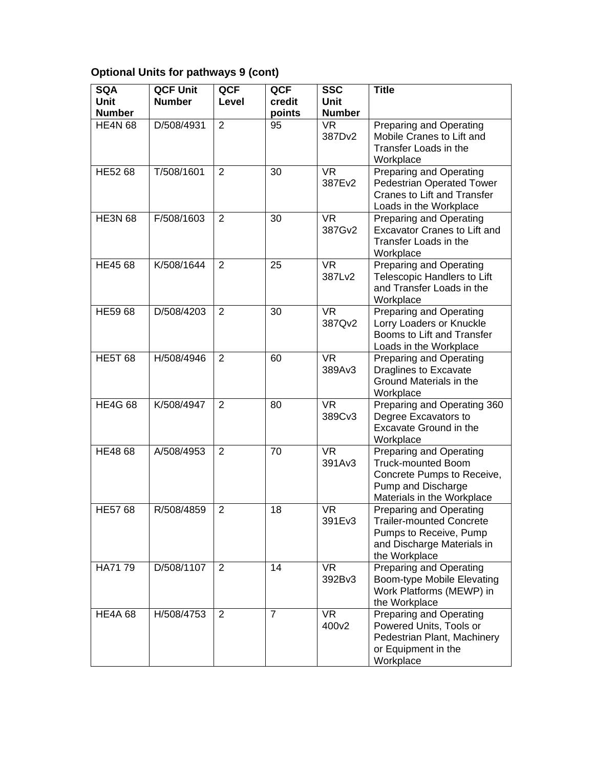# **Optional Units for pathways 9 (cont)**

| <b>SQA</b><br>Unit<br><b>Number</b> | <b>QCF Unit</b><br><b>Number</b> | QCF<br>Level   | QCF<br>credit<br>points | <b>SSC</b><br>Unit<br><b>Number</b> | <b>Title</b>                                                                                                                                  |
|-------------------------------------|----------------------------------|----------------|-------------------------|-------------------------------------|-----------------------------------------------------------------------------------------------------------------------------------------------|
| <b>HE4N 68</b>                      | D/508/4931                       | $\overline{2}$ | 95                      | <b>VR</b><br>387Dv2                 | Preparing and Operating<br>Mobile Cranes to Lift and<br>Transfer Loads in the<br>Workplace                                                    |
| HE52 68                             | T/508/1601                       | $\overline{2}$ | 30                      | <b>VR</b><br>387Ev2                 | Preparing and Operating<br>Pedestrian Operated Tower<br><b>Cranes to Lift and Transfer</b><br>Loads in the Workplace                          |
| <b>HE3N 68</b>                      | F/508/1603                       | $\overline{2}$ | 30                      | <b>VR</b><br>387Gv2                 | Preparing and Operating<br><b>Excavator Cranes to Lift and</b><br>Transfer Loads in the<br>Workplace                                          |
| HE45 68                             | K/508/1644                       | 2              | 25                      | <b>VR</b><br>387Lv2                 | <b>Preparing and Operating</b><br>Telescopic Handlers to Lift<br>and Transfer Loads in the<br>Workplace                                       |
| HE59 68                             | D/508/4203                       | 2              | 30                      | <b>VR</b><br>387Qv2                 | Preparing and Operating<br>Lorry Loaders or Knuckle<br>Booms to Lift and Transfer<br>Loads in the Workplace                                   |
| <b>HE5T 68</b>                      | H/508/4946                       | 2              | 60                      | <b>VR</b><br>389Av3                 | Preparing and Operating<br><b>Draglines to Excavate</b><br>Ground Materials in the<br>Workplace                                               |
| <b>HE4G 68</b>                      | K/508/4947                       | 2              | 80                      | <b>VR</b><br>389Cv3                 | Preparing and Operating 360<br>Degree Excavators to<br>Excavate Ground in the<br>Workplace                                                    |
| HE48 68                             | A/508/4953                       | $\overline{2}$ | 70                      | <b>VR</b><br>391Av3                 | <b>Preparing and Operating</b><br><b>Truck-mounted Boom</b><br>Concrete Pumps to Receive,<br>Pump and Discharge<br>Materials in the Workplace |
| <b>HE57 68</b>                      | R/508/4859                       | $\overline{2}$ | 18                      | <b>VR</b><br>391Ev3                 | <b>Preparing and Operating</b><br><b>Trailer-mounted Concrete</b><br>Pumps to Receive, Pump<br>and Discharge Materials in<br>the Workplace    |
| HA71 79                             | D/508/1107                       | 2              | 14                      | <b>VR</b><br>392Bv3                 | Preparing and Operating<br>Boom-type Mobile Elevating<br>Work Platforms (MEWP) in<br>the Workplace                                            |
| <b>HE4A 68</b>                      | H/508/4753                       | $\overline{2}$ | $\overline{7}$          | <b>VR</b><br>400v2                  | Preparing and Operating<br>Powered Units, Tools or<br>Pedestrian Plant, Machinery<br>or Equipment in the<br>Workplace                         |